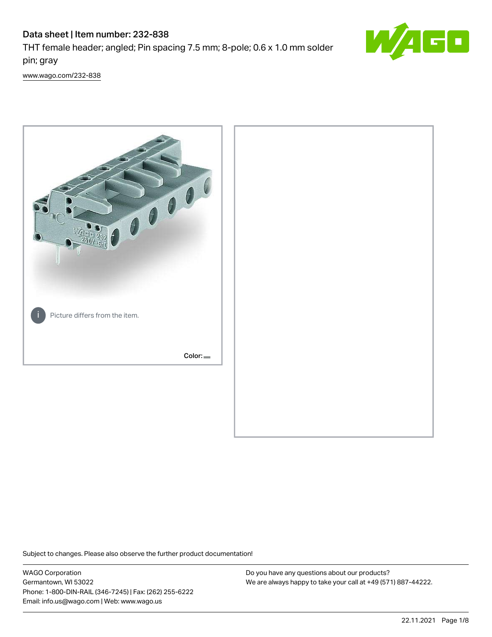# Data sheet | Item number: 232-838

THT female header; angled; Pin spacing 7.5 mm; 8-pole; 0.6 x 1.0 mm solder pin; gray



[www.wago.com/232-838](http://www.wago.com/232-838)



Subject to changes. Please also observe the further product documentation!

WAGO Corporation Germantown, WI 53022 Phone: 1-800-DIN-RAIL (346-7245) | Fax: (262) 255-6222 Email: info.us@wago.com | Web: www.wago.us

Do you have any questions about our products? We are always happy to take your call at +49 (571) 887-44222.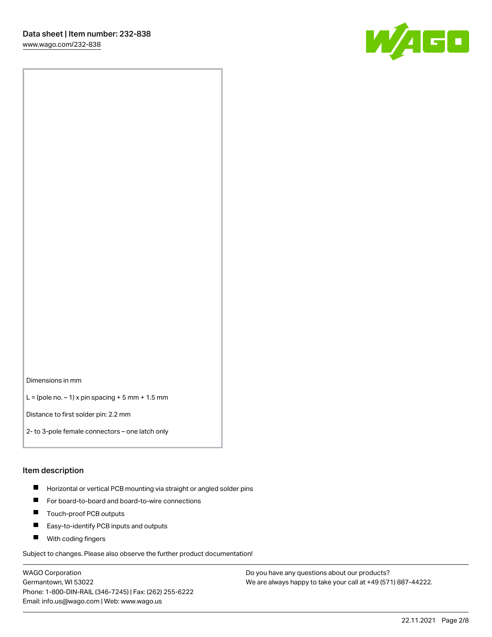

#### Dimensions in mm

 $L =$  (pole no.  $-1$ ) x pin spacing  $+5$  mm  $+ 1.5$  mm

Distance to first solder pin: 2.2 mm

2- to 3-pole female connectors – one latch only

#### Item description

- **Horizontal or vertical PCB mounting via straight or angled solder pins**
- For board-to-board and board-to-wire connections
- $\blacksquare$ Touch-proof PCB outputs
- $\blacksquare$ Easy-to-identify PCB inputs and outputs
- **Now With coding fingers**

Subject to changes. Please also observe the further product documentation!

WAGO Corporation Germantown, WI 53022 Phone: 1-800-DIN-RAIL (346-7245) | Fax: (262) 255-6222 Email: info.us@wago.com | Web: www.wago.us

Do you have any questions about our products? We are always happy to take your call at +49 (571) 887-44222.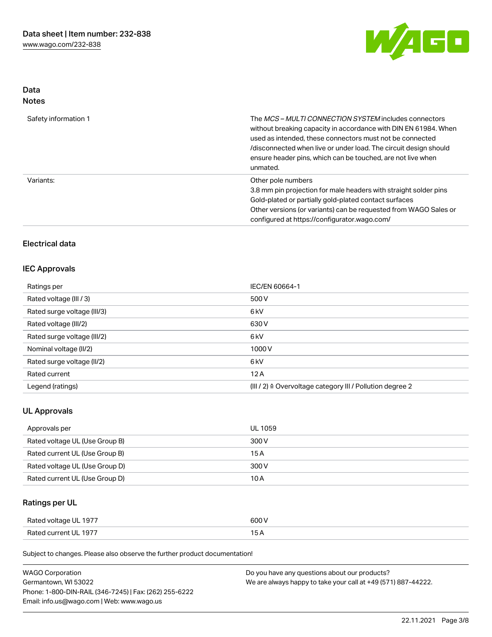

## Data Notes

| Safety information 1 | The MCS-MULTI CONNECTION SYSTEM includes connectors<br>without breaking capacity in accordance with DIN EN 61984. When<br>used as intended, these connectors must not be connected<br>/disconnected when live or under load. The circuit design should<br>ensure header pins, which can be touched, are not live when<br>unmated. |
|----------------------|-----------------------------------------------------------------------------------------------------------------------------------------------------------------------------------------------------------------------------------------------------------------------------------------------------------------------------------|
| Variants:            | Other pole numbers<br>3.8 mm pin projection for male headers with straight solder pins<br>Gold-plated or partially gold-plated contact surfaces<br>Other versions (or variants) can be requested from WAGO Sales or<br>configured at https://configurator.wago.com/                                                               |

# Electrical data

## IEC Approvals

| Ratings per                 | IEC/EN 60664-1                                                       |
|-----------------------------|----------------------------------------------------------------------|
| Rated voltage (III / 3)     | 500 V                                                                |
| Rated surge voltage (III/3) | 6 <sub>k</sub> V                                                     |
| Rated voltage (III/2)       | 630 V                                                                |
| Rated surge voltage (III/2) | 6 <sub>k</sub> V                                                     |
| Nominal voltage (II/2)      | 1000V                                                                |
| Rated surge voltage (II/2)  | 6 <sub>k</sub> V                                                     |
| Rated current               | 12A                                                                  |
| Legend (ratings)            | (III / 2) $\triangleq$ Overvoltage category III / Pollution degree 2 |

## UL Approvals

| Approvals per                  | <b>UL 1059</b> |
|--------------------------------|----------------|
| Rated voltage UL (Use Group B) | 300 V          |
| Rated current UL (Use Group B) | 15 A           |
| Rated voltage UL (Use Group D) | 300 V          |
| Rated current UL (Use Group D) | 10 A           |

# Ratings per UL

| Rated voltage UL 1977 | 600 V |
|-----------------------|-------|
| Rated current UL 1977 |       |

Subject to changes. Please also observe the further product documentation!

| <b>WAGO Corporation</b>                                | Do you have any questions about our products?                 |
|--------------------------------------------------------|---------------------------------------------------------------|
| Germantown, WI 53022                                   | We are always happy to take your call at +49 (571) 887-44222. |
| Phone: 1-800-DIN-RAIL (346-7245)   Fax: (262) 255-6222 |                                                               |
| Email: info.us@wago.com   Web: www.wago.us             |                                                               |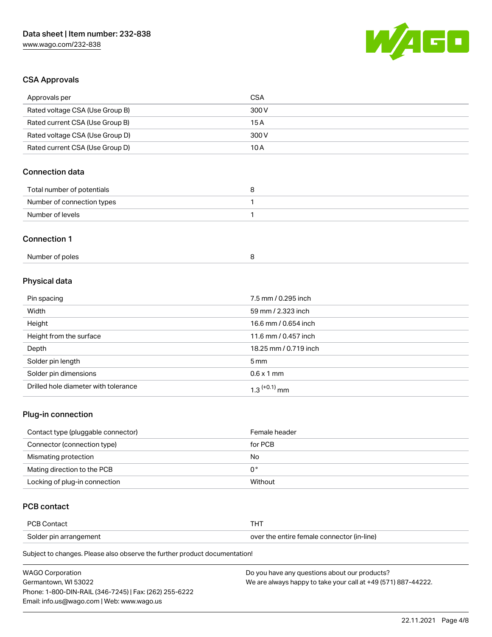

# CSA Approvals

| Approvals per                        | <b>CSA</b>            |  |
|--------------------------------------|-----------------------|--|
| Rated voltage CSA (Use Group B)      | 300V                  |  |
| Rated current CSA (Use Group B)      | 15A                   |  |
| Rated voltage CSA (Use Group D)      | 300V                  |  |
| Rated current CSA (Use Group D)      | 10A                   |  |
| <b>Connection data</b>               |                       |  |
| Total number of potentials           | 8                     |  |
| Number of connection types           | 1                     |  |
| Number of levels                     | 1                     |  |
| <b>Connection 1</b>                  |                       |  |
| Number of poles                      | 8                     |  |
| Physical data                        |                       |  |
| Pin spacing                          | 7.5 mm / 0.295 inch   |  |
| Width                                | 59 mm / 2.323 inch    |  |
| Height                               | 16.6 mm / 0.654 inch  |  |
| Height from the surface              | 11.6 mm / 0.457 inch  |  |
| Depth                                | 18.25 mm / 0.719 inch |  |
| Solder pin length                    | 5 <sub>mm</sub>       |  |
| Solder pin dimensions                | $0.6 \times 1$ mm     |  |
| Drilled hole diameter with tolerance | $1.3$ $(+0.1)$ mm     |  |

### Plug-in connection

| Contact type (pluggable connector) | Female header |
|------------------------------------|---------------|
| Connector (connection type)        | for PCB       |
| Mismating protection               | No            |
| Mating direction to the PCB        | 0°            |
| Locking of plug-in connection      | Without       |

## PCB contact

| PCB Contact            |                                            |
|------------------------|--------------------------------------------|
| Solder pin arrangement | over the entire female connector (in-line) |

Subject to changes. Please also observe the further product documentation!

| <b>WAGO Corporation</b>                                | Do you have any questions about our products?                 |
|--------------------------------------------------------|---------------------------------------------------------------|
| Germantown. WI 53022                                   | We are always happy to take your call at +49 (571) 887-44222. |
| Phone: 1-800-DIN-RAIL (346-7245)   Fax: (262) 255-6222 |                                                               |
| Email: info.us@wago.com   Web: www.wago.us             |                                                               |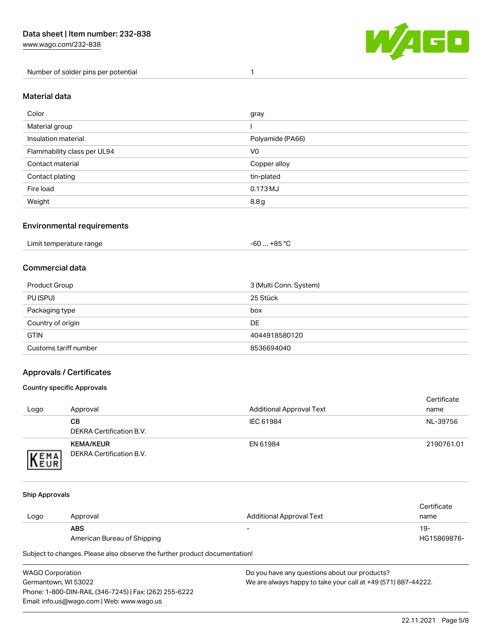

#### Material data

| Color                       | gray             |
|-----------------------------|------------------|
| Material group              |                  |
| Insulation material         | Polyamide (PA66) |
| Flammability class per UL94 | V <sub>0</sub>   |
| Contact material            | Copper alloy     |
| Contact plating             | tin-plated       |
| Fire load                   | 0.173 MJ         |
| Weight                      | 8.8 g            |

#### Environmental requirements

| Limit temperature range | $-60+85 °C$ |  |
|-------------------------|-------------|--|
|-------------------------|-------------|--|

## Commercial data

| Product Group         | 3 (Multi Conn. System) |
|-----------------------|------------------------|
| PU (SPU)              | 25 Stück               |
| Packaging type        | box                    |
| Country of origin     | <b>DE</b>              |
| <b>GTIN</b>           | 4044918580120          |
| Customs tariff number | 8536694040             |

### Approvals / Certificates

#### Country specific Approvals

| Logo                | Approval                                            | <b>Additional Approval Text</b> | Certificate<br>name |
|---------------------|-----------------------------------------------------|---------------------------------|---------------------|
|                     | CВ<br>DEKRA Certification B.V.                      | IEC 61984                       | NL-39756            |
| EMA<br><b>INEUR</b> | <b>KEMA/KEUR</b><br><b>DEKRA Certification B.V.</b> | EN 61984                        | 2190761.01          |

#### Ship Approvals

|      |                             |                          | Certificate |
|------|-----------------------------|--------------------------|-------------|
| Logo | Approval                    | Additional Approval Text | name        |
|      | ABS                         | -                        | 19-         |
|      | American Bureau of Shipping |                          | HG15869876- |

Subject to changes. Please also observe the further product documentation!

WAGO Corporation Germantown, WI 53022 Phone: 1-800-DIN-RAIL (346-7245) | Fax: (262) 255-6222 Email: info.us@wago.com | Web: www.wago.us Do you have any questions about our products? We are always happy to take your call at +49 (571) 887-44222.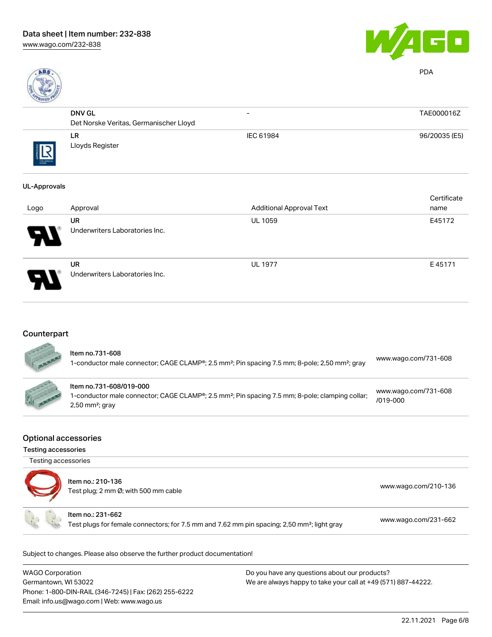



PDA

| ROVED      |                                        |                          |               |
|------------|----------------------------------------|--------------------------|---------------|
|            | <b>DNV GL</b>                          | $\overline{\phantom{0}}$ | TAE000016Z    |
|            | Det Norske Veritas, Germanischer Lloyd |                          |               |
| THE APROVA | LR<br>Lloyds Register                  | IEC 61984                | 96/20035 (E5) |

### UL-Approvals

| Logo                       | Approval                                    | <b>Additional Approval Text</b> | Certificate<br>name |
|----------------------------|---------------------------------------------|---------------------------------|---------------------|
| $\boldsymbol{\mathcal{P}}$ | <b>UR</b><br>Underwriters Laboratories Inc. | <b>UL 1059</b>                  | E45172              |
| 8                          | <b>UR</b><br>Underwriters Laboratories Inc. | <b>UL 1977</b>                  | E45171              |

# **Counterpart**

SEE AND

| ltem no.731-608<br>1-conductor male connector; CAGE CLAMP®; 2.5 mm <sup>2</sup> ; Pin spacing 7.5 mm; 8-pole; 2,50 mm <sup>2</sup> ; gray                                            | www.wago.com/731-608                 |
|--------------------------------------------------------------------------------------------------------------------------------------------------------------------------------------|--------------------------------------|
| Item no.731-608/019-000<br>1-conductor male connector; CAGE CLAMP <sup>®</sup> ; 2.5 mm <sup>2</sup> ; Pin spacing 7.5 mm; 8-pole; clamping collar;<br>$2,50$ mm <sup>2</sup> ; gray | www.wago.com/731-608<br>$/019 - 000$ |

#### Optional accessories

Testing accessories

| Testing accessories | Item no.: 210-136<br>Test plug; 2 mm Ø; with 500 mm cable                                                                    | www.wago.com/210-136 |
|---------------------|------------------------------------------------------------------------------------------------------------------------------|----------------------|
|                     | Item no.: 231-662<br>Test plugs for female connectors; for 7.5 mm and 7.62 mm pin spacing; 2,50 mm <sup>2</sup> ; light gray | www.wago.com/231-662 |

Subject to changes. Please also observe the further product documentation!

| WAGO Corporation                                       | Do you have any questions about our products?                 |  |
|--------------------------------------------------------|---------------------------------------------------------------|--|
| Germantown, WI 53022                                   | We are always happy to take your call at +49 (571) 887-44222. |  |
| Phone: 1-800-DIN-RAIL (346-7245)   Fax: (262) 255-6222 |                                                               |  |
| Email: info.us@wago.com   Web: www.wago.us             |                                                               |  |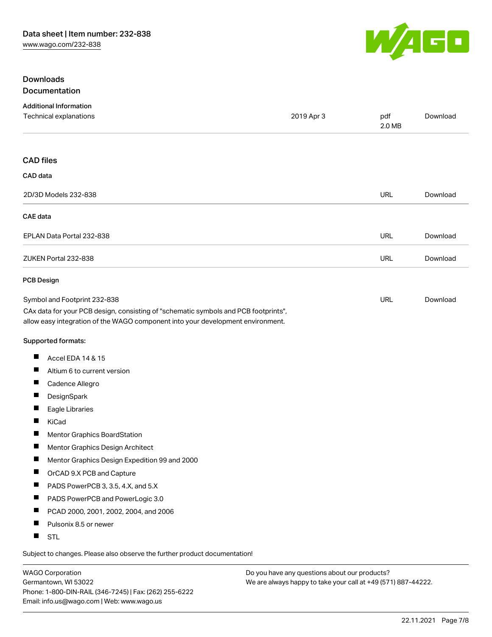

## Downloads Documentation

| <b>Additional Information</b><br>Technical explanations                                                                                                                | 2019 Apr 3 | pdf<br>2.0 MB | Download |
|------------------------------------------------------------------------------------------------------------------------------------------------------------------------|------------|---------------|----------|
| <b>CAD files</b>                                                                                                                                                       |            |               |          |
| CAD data                                                                                                                                                               |            |               |          |
| 2D/3D Models 232-838                                                                                                                                                   |            | URL           | Download |
| <b>CAE</b> data                                                                                                                                                        |            |               |          |
| EPLAN Data Portal 232-838                                                                                                                                              |            | URL           | Download |
| ZUKEN Portal 232-838                                                                                                                                                   |            | <b>URL</b>    | Download |
| <b>PCB Design</b>                                                                                                                                                      |            |               |          |
| Symbol and Footprint 232-838                                                                                                                                           |            | <b>URL</b>    | Download |
| CAx data for your PCB design, consisting of "schematic symbols and PCB footprints",<br>allow easy integration of the WAGO component into your development environment. |            |               |          |
| Supported formats:                                                                                                                                                     |            |               |          |
| ш<br>Accel EDA 14 & 15                                                                                                                                                 |            |               |          |
| ш<br>Altium 6 to current version                                                                                                                                       |            |               |          |
| ш<br>Cadence Allegro                                                                                                                                                   |            |               |          |
| П<br>DesignSpark                                                                                                                                                       |            |               |          |
| ш<br>Eagle Libraries                                                                                                                                                   |            |               |          |
| ш<br>KiCad                                                                                                                                                             |            |               |          |
| ш<br>Mentor Graphics BoardStation                                                                                                                                      |            |               |          |
| ш<br>Mentor Graphics Design Architect                                                                                                                                  |            |               |          |
| Mentor Graphics Design Expedition 99 and 2000                                                                                                                          |            |               |          |
| ш<br>OrCAD 9.X PCB and Capture                                                                                                                                         |            |               |          |
| ш<br>PADS PowerPCB 3, 3.5, 4.X, and 5.X                                                                                                                                |            |               |          |
| Ш<br>PADS PowerPCB and PowerLogic 3.0                                                                                                                                  |            |               |          |
| ш<br>PCAD 2000, 2001, 2002, 2004, and 2006                                                                                                                             |            |               |          |
| ш<br>Pulsonix 8.5 or newer                                                                                                                                             |            |               |          |
| H.<br>STL                                                                                                                                                              |            |               |          |

Subject to changes. Please also observe the further product documentation!

WAGO Corporation Germantown, WI 53022 Phone: 1-800-DIN-RAIL (346-7245) | Fax: (262) 255-6222 Email: info.us@wago.com | Web: www.wago.us

Do you have any questions about our products? We are always happy to take your call at +49 (571) 887-44222.